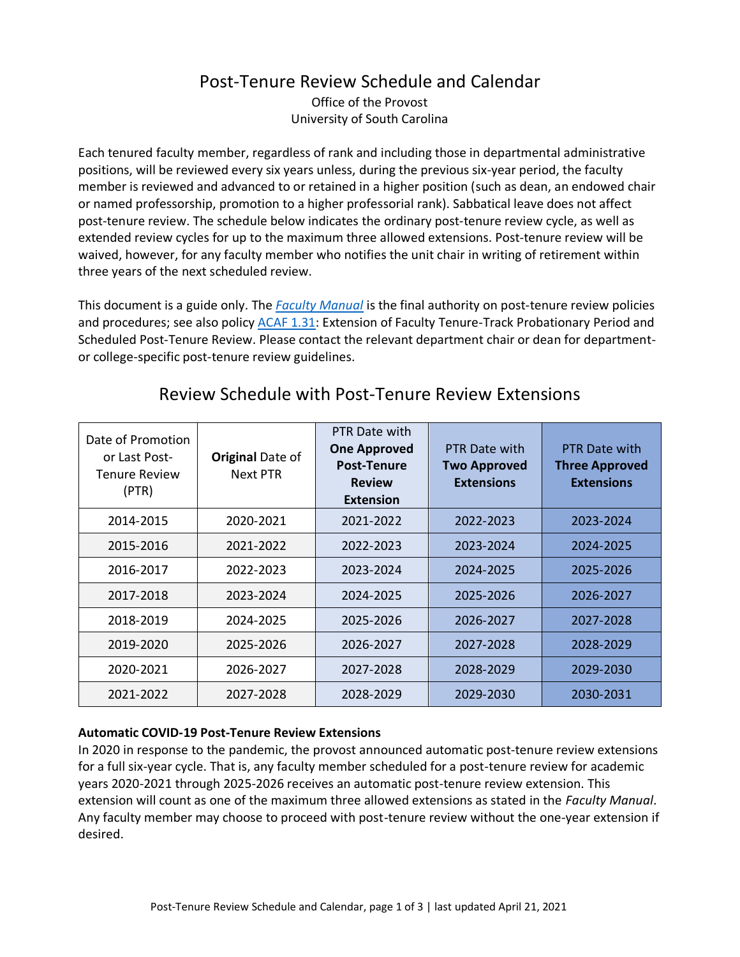## Post-Tenure Review Schedule and Calendar

Office of the Provost University of South Carolina

Each tenured faculty member, regardless of rank and including those in departmental administrative positions, will be reviewed every six years unless, during the previous six-year period, the faculty member is reviewed and advanced to or retained in a higher position (such as dean, an endowed chair or named professorship, promotion to a higher professorial rank). Sabbatical leave does not affect post-tenure review. The schedule below indicates the ordinary post-tenure review cycle, as well as extended review cycles for up to the maximum three allowed extensions. Post-tenure review will be waived, however, for any faculty member who notifies the unit chair in writing of retirement within three years of the next scheduled review.

This document is a guide only. The *[Faculty Manual](https://sc.edu/about/offices_and_divisions/provost/policiesandprocedures/facultymanuals/index.php)* is the final authority on post-tenure review policies and procedures; see also policy [ACAF 1.31:](https://www.sc.edu/policies/ppm/acaf131.pdf) Extension of Faculty Tenure-Track Probationary Period and Scheduled Post-Tenure Review. Please contact the relevant department chair or dean for departmentor college-specific post-tenure review guidelines.

| Date of Promotion<br>or Last Post-<br><b>Tenure Review</b><br>(PTR) | <b>Original Date of</b><br>Next PTR | PTR Date with<br><b>One Approved</b><br><b>Post-Tenure</b><br><b>Review</b><br><b>Extension</b> | PTR Date with<br><b>Two Approved</b><br><b>Extensions</b> | <b>PTR Date with</b><br><b>Three Approved</b><br><b>Extensions</b> |
|---------------------------------------------------------------------|-------------------------------------|-------------------------------------------------------------------------------------------------|-----------------------------------------------------------|--------------------------------------------------------------------|
| 2014-2015                                                           | 2020-2021                           | 2021-2022                                                                                       | 2022-2023                                                 | 2023-2024                                                          |
| 2015-2016                                                           | 2021-2022                           | 2022-2023                                                                                       | 2023-2024                                                 | 2024-2025                                                          |
| 2016-2017                                                           | 2022-2023                           | 2023-2024                                                                                       | 2024-2025                                                 | 2025-2026                                                          |
| 2017-2018                                                           | 2023-2024                           | 2024-2025                                                                                       | 2025-2026                                                 | 2026-2027                                                          |
| 2018-2019                                                           | 2024-2025                           | 2025-2026                                                                                       | 2026-2027                                                 | 2027-2028                                                          |
| 2019-2020                                                           | 2025-2026                           | 2026-2027                                                                                       | 2027-2028                                                 | 2028-2029                                                          |
| 2020-2021                                                           | 2026-2027                           | 2027-2028                                                                                       | 2028-2029                                                 | 2029-2030                                                          |
| 2021-2022                                                           | 2027-2028                           | 2028-2029                                                                                       | 2029-2030                                                 | 2030-2031                                                          |

## Review Schedule with Post-Tenure Review Extensions

## **Automatic COVID-19 Post-Tenure Review Extensions**

In 2020 in response to the pandemic, the provost announced automatic post-tenure review extensions for a full six-year cycle. That is, any faculty member scheduled for a post-tenure review for academic years 2020-2021 through 2025-2026 receives an automatic post-tenure review extension. This extension will count as one of the maximum three allowed extensions as stated in the *Faculty Manual*. Any faculty member may choose to proceed with post-tenure review without the one-year extension if desired.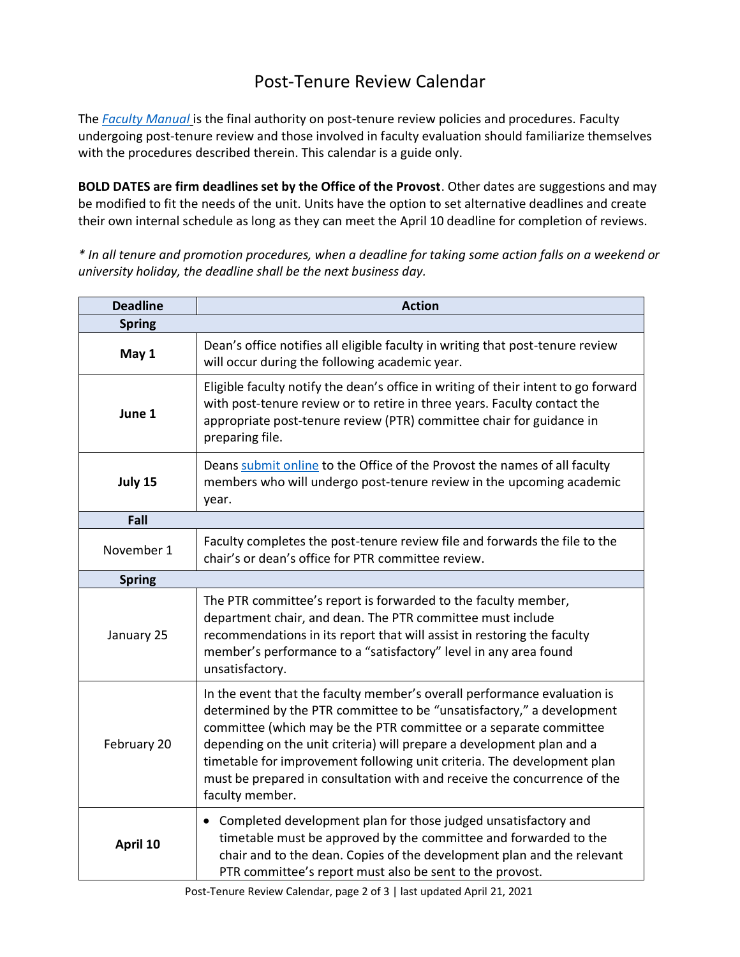## Post-Tenure Review Calendar

The *[Faculty Manual](https://sc.edu/about/offices_and_divisions/provost/policiesandprocedures/facultymanuals/index.php)* is the final authority on post-tenure review policies and procedures. Faculty undergoing post-tenure review and those involved in faculty evaluation should familiarize themselves with the procedures described therein. This calendar is a guide only.

**BOLD DATES are firm deadlines set by the Office of the Provost**. Other dates are suggestions and may be modified to fit the needs of the unit. Units have the option to set alternative deadlines and create their own internal schedule as long as they can meet the April 10 deadline for completion of reviews.

*\* In all tenure and promotion procedures, when a deadline for taking some action falls on a weekend or university holiday, the deadline shall be the next business day.*

| <b>Deadline</b> | <b>Action</b>                                                                                                                                                                                                                                                                                                                                                                                                                                                             |  |  |
|-----------------|---------------------------------------------------------------------------------------------------------------------------------------------------------------------------------------------------------------------------------------------------------------------------------------------------------------------------------------------------------------------------------------------------------------------------------------------------------------------------|--|--|
| <b>Spring</b>   |                                                                                                                                                                                                                                                                                                                                                                                                                                                                           |  |  |
| May 1           | Dean's office notifies all eligible faculty in writing that post-tenure review<br>will occur during the following academic year.                                                                                                                                                                                                                                                                                                                                          |  |  |
| June 1          | Eligible faculty notify the dean's office in writing of their intent to go forward<br>with post-tenure review or to retire in three years. Faculty contact the<br>appropriate post-tenure review (PTR) committee chair for guidance in<br>preparing file.                                                                                                                                                                                                                 |  |  |
| July 15         | Deans submit online to the Office of the Provost the names of all faculty<br>members who will undergo post-tenure review in the upcoming academic<br>year.                                                                                                                                                                                                                                                                                                                |  |  |
| Fall            |                                                                                                                                                                                                                                                                                                                                                                                                                                                                           |  |  |
| November 1      | Faculty completes the post-tenure review file and forwards the file to the<br>chair's or dean's office for PTR committee review.                                                                                                                                                                                                                                                                                                                                          |  |  |
| <b>Spring</b>   |                                                                                                                                                                                                                                                                                                                                                                                                                                                                           |  |  |
| January 25      | The PTR committee's report is forwarded to the faculty member,<br>department chair, and dean. The PTR committee must include<br>recommendations in its report that will assist in restoring the faculty<br>member's performance to a "satisfactory" level in any area found<br>unsatisfactory.                                                                                                                                                                            |  |  |
| February 20     | In the event that the faculty member's overall performance evaluation is<br>determined by the PTR committee to be "unsatisfactory," a development<br>committee (which may be the PTR committee or a separate committee<br>depending on the unit criteria) will prepare a development plan and a<br>timetable for improvement following unit criteria. The development plan<br>must be prepared in consultation with and receive the concurrence of the<br>faculty member. |  |  |
| April 10        | Completed development plan for those judged unsatisfactory and<br>$\bullet$<br>timetable must be approved by the committee and forwarded to the<br>chair and to the dean. Copies of the development plan and the relevant<br>PTR committee's report must also be sent to the provost.                                                                                                                                                                                     |  |  |